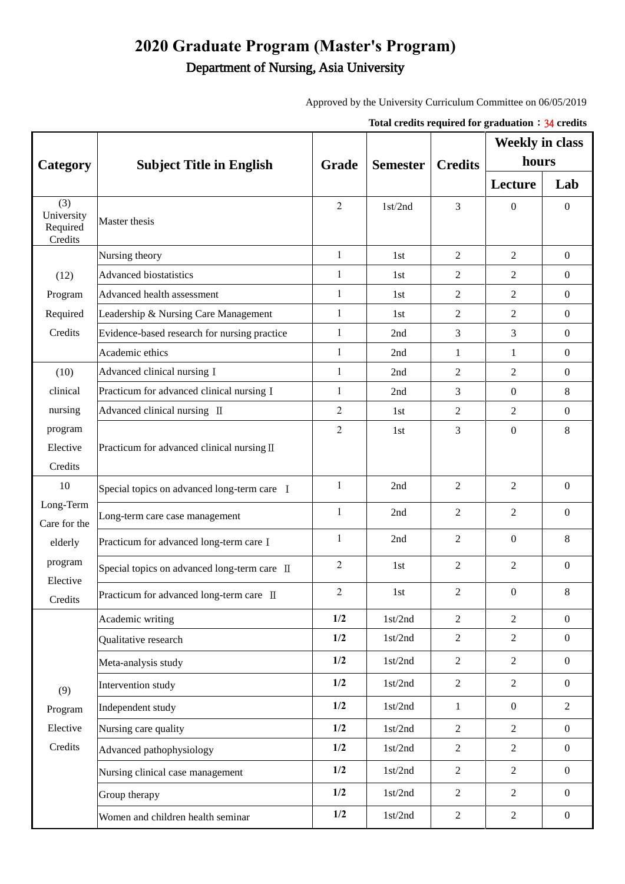## **2020 Graduate Program (Master's Program)** Department of Nursing, Asia University

Approved by the University Curriculum Committee on 06/05/2019

|                                                                              |                                              |                |                 | Total credits required for graduation $\div$ 34 credits |                                          |                  |         |         |
|------------------------------------------------------------------------------|----------------------------------------------|----------------|-----------------|---------------------------------------------------------|------------------------------------------|------------------|---------|---------|
| Category                                                                     | <b>Subject Title in English</b>              | Grade          | <b>Semester</b> | <b>Credits</b>                                          | <b>Weekly in class</b><br>hours          |                  |         |         |
|                                                                              |                                              |                |                 |                                                         |                                          |                  | Lecture | Lab     |
|                                                                              |                                              |                |                 |                                                         | (3)<br>University<br>Required<br>Credits | Master thesis    | 2       | 1st/2nd |
| (12)<br>Program<br>Required<br>Credits                                       | Nursing theory                               | $\mathbf{1}$   | 1st             | 2                                                       | $\overline{2}$                           | $\boldsymbol{0}$ |         |         |
|                                                                              | <b>Advanced biostatistics</b>                | $\mathbf{1}$   | 1st             | $\overline{2}$                                          | 2                                        | $\overline{0}$   |         |         |
|                                                                              | Advanced health assessment                   | $\mathbf{1}$   | 1st             | $\overline{2}$                                          | 2                                        | $\boldsymbol{0}$ |         |         |
|                                                                              | Leadership & Nursing Care Management         | 1              | 1st             | 2                                                       | 2                                        | $\boldsymbol{0}$ |         |         |
|                                                                              | Evidence-based research for nursing practice | $\mathbf{1}$   | 2nd             | 3                                                       | 3                                        | $\boldsymbol{0}$ |         |         |
|                                                                              | Academic ethics                              | $\mathbf{1}$   | 2nd             | 1                                                       | 1                                        | $\boldsymbol{0}$ |         |         |
| (10)                                                                         | Advanced clinical nursing I                  | $\mathbf{1}$   | 2nd             | $\overline{2}$                                          | $\overline{2}$                           | $\boldsymbol{0}$ |         |         |
| clinical                                                                     | Practicum for advanced clinical nursing I    | $\mathbf{1}$   | 2nd             | 3                                                       | $\boldsymbol{0}$                         | $\,8\,$          |         |         |
| nursing                                                                      | Advanced clinical nursing II                 | $\overline{2}$ | 1st             | $\overline{2}$                                          | 2                                        | $\boldsymbol{0}$ |         |         |
| program<br>Elective<br>Credits                                               | Practicum for advanced clinical nursing II   | 2              | 1st             | 3                                                       | $\boldsymbol{0}$                         | 8                |         |         |
| 10<br>Long-Term<br>Care for the<br>elderly<br>program<br>Elective<br>Credits | Special topics on advanced long-term care I  | $\mathbf{1}$   | 2nd             | 2                                                       | $\overline{2}$                           | $\overline{0}$   |         |         |
|                                                                              | Long-term care case management               | $\mathbf{1}$   | 2nd             | $\overline{2}$                                          | $\overline{c}$                           | $\overline{0}$   |         |         |
|                                                                              | Practicum for advanced long-term care I      | 1              | 2nd             | $\overline{2}$                                          | $\boldsymbol{0}$                         | 8                |         |         |
|                                                                              | Special topics on advanced long-term care II | 2              | 1st             | 2                                                       | 2                                        | $\boldsymbol{0}$ |         |         |
|                                                                              | Practicum for advanced long-term care II     | $\overline{c}$ | 1st             | $\sqrt{2}$                                              | $\boldsymbol{0}$                         | 8                |         |         |
| (9)<br>Program<br>Elective<br>Credits                                        | Academic writing                             | 1/2            | 1st/2nd         | $\overline{2}$                                          | $\overline{2}$                           | $\boldsymbol{0}$ |         |         |
|                                                                              | Qualitative research                         | 1/2            | 1st/2nd         | $\sqrt{2}$                                              | $\overline{2}$                           | $\overline{0}$   |         |         |
|                                                                              | Meta-analysis study                          | 1/2            | 1st/2nd         | $\overline{2}$                                          | $\overline{2}$                           | $\boldsymbol{0}$ |         |         |
|                                                                              | Intervention study                           | 1/2            | 1st/2nd         | $\overline{2}$                                          | $\overline{2}$                           | $\overline{0}$   |         |         |
|                                                                              | Independent study                            | 1/2            | 1st/2nd         | $\mathbf{1}$                                            | $\boldsymbol{0}$                         | $\overline{2}$   |         |         |
|                                                                              | Nursing care quality                         | 1/2            | 1st/2nd         | $\overline{2}$                                          | $\overline{2}$                           | $\boldsymbol{0}$ |         |         |
|                                                                              | Advanced pathophysiology                     | 1/2            | 1st/2nd         | $\overline{2}$                                          | $\mathfrak{2}$                           | $\boldsymbol{0}$ |         |         |
|                                                                              | Nursing clinical case management             | 1/2            | 1st/2nd         | $\overline{2}$                                          | $\overline{2}$                           | $\mathbf{0}$     |         |         |
|                                                                              | Group therapy                                | 1/2            | 1st/2nd         | $\overline{2}$                                          | $\sqrt{2}$                               | $\boldsymbol{0}$ |         |         |
|                                                                              | Women and children health seminar            | 1/2            | $1st/2nd$       | $\overline{2}$                                          | $\sqrt{2}$                               | $\boldsymbol{0}$ |         |         |